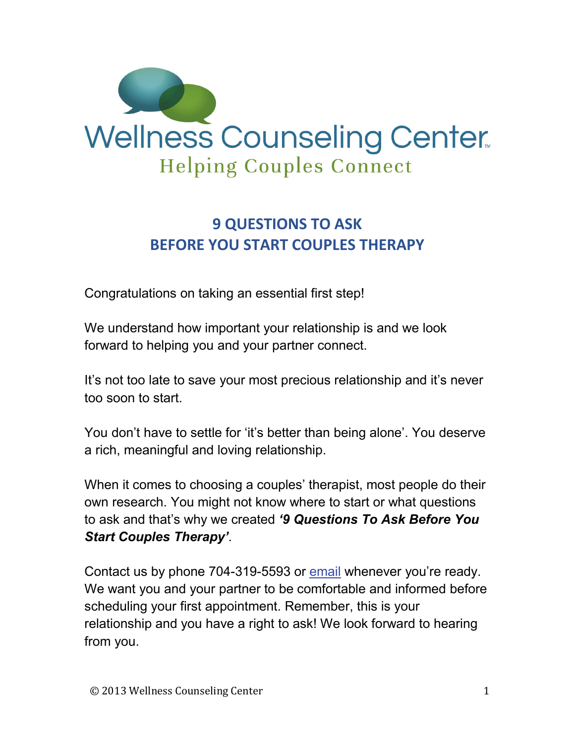

# **9 QUESTIONS TO ASK BEFORE YOU START COUPLES THERAPY**

Congratulations on taking an essential first step!

We understand how important your relationship is and we look forward to helping you and your partner connect.

It's not too late to save your most precious relationship and it's never too soon to start.

You don't have to settle for 'it's better than being alone'. You deserve a rich, meaningful and loving relationship.

When it comes to choosing a couples' therapist, most people do their own research. You might not know where to start or what questions to ask and that's why we created *'9 Questions To Ask Before You Start Couples Therapy'*.

Contact us by phone 704-319-5593 or [email](http://thewellnesscounselingcenter.com/contact) whenever you're ready. We want you and your partner to be comfortable and informed before scheduling your first appointment. Remember, this is your relationship and you have a right to ask! We look forward to hearing from you.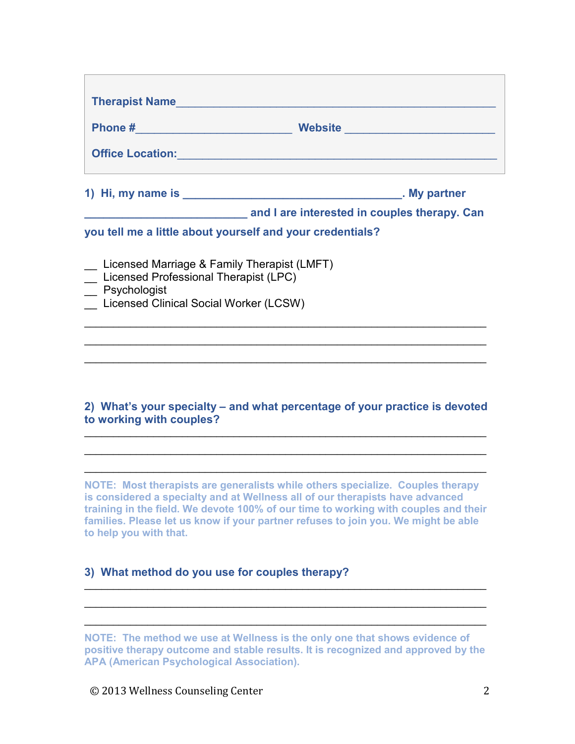|                                                        | Office Location: <u>Communication</u> Contract Contract Contract Contract Contract Contract Contract Contract Contract Contract Contract Contract Contract Contract Contract Contract Contract Contract Contract Contract Contract |  |
|--------------------------------------------------------|------------------------------------------------------------------------------------------------------------------------------------------------------------------------------------------------------------------------------------|--|
|                                                        |                                                                                                                                                                                                                                    |  |
|                                                        | and I are interested in couples therapy. Can                                                                                                                                                                                       |  |
|                                                        |                                                                                                                                                                                                                                    |  |
|                                                        | you tell me a little about yourself and your credentials?                                                                                                                                                                          |  |
| _ Licensed Marriage & Family Therapist (LMFT)          |                                                                                                                                                                                                                                    |  |
| Licensed Professional Therapist (LPC)                  |                                                                                                                                                                                                                                    |  |
| Psychologist<br>Licensed Clinical Social Worker (LCSW) |                                                                                                                                                                                                                                    |  |

### **2) What's your specialty – and what percentage of your practice is devoted to working with couples?**

\_\_\_\_\_\_\_\_\_\_\_\_\_\_\_\_\_\_\_\_\_\_\_\_\_\_\_\_\_\_\_\_\_\_\_\_\_\_\_\_\_\_\_\_\_\_\_\_\_\_\_\_\_\_\_\_\_\_\_\_\_\_\_\_\_\_\_\_\_\_ \_\_\_\_\_\_\_\_\_\_\_\_\_\_\_\_\_\_\_\_\_\_\_\_\_\_\_\_\_\_\_\_\_\_\_\_\_\_\_\_\_\_\_\_\_\_\_\_\_\_\_\_\_\_\_\_\_\_\_\_\_\_\_\_\_\_\_\_\_\_ \_\_\_\_\_\_\_\_\_\_\_\_\_\_\_\_\_\_\_\_\_\_\_\_\_\_\_\_\_\_\_\_\_\_\_\_\_\_\_\_\_\_\_\_\_\_\_\_\_\_\_\_\_\_\_\_\_\_\_\_\_\_\_\_\_\_\_\_\_\_

**NOTE: Most therapists are generalists while others specialize. Couples therapy is considered a specialty and at Wellness all of our therapists have advanced training in the field. We devote 100% of our time to working with couples and their families. Please let us know if your partner refuses to join you. We might be able to help you with that.**

## **3) What method do you use for couples therapy?**

**NOTE: The method we use at Wellness is the only one that shows evidence of positive therapy outcome and stable results. It is recognized and approved by the APA (American Psychological Association).**

\_\_\_\_\_\_\_\_\_\_\_\_\_\_\_\_\_\_\_\_\_\_\_\_\_\_\_\_\_\_\_\_\_\_\_\_\_\_\_\_\_\_\_\_\_\_\_\_\_\_\_\_\_\_\_\_\_\_\_\_\_\_\_\_\_\_\_\_\_\_ \_\_\_\_\_\_\_\_\_\_\_\_\_\_\_\_\_\_\_\_\_\_\_\_\_\_\_\_\_\_\_\_\_\_\_\_\_\_\_\_\_\_\_\_\_\_\_\_\_\_\_\_\_\_\_\_\_\_\_\_\_\_\_\_\_\_\_\_\_\_ \_\_\_\_\_\_\_\_\_\_\_\_\_\_\_\_\_\_\_\_\_\_\_\_\_\_\_\_\_\_\_\_\_\_\_\_\_\_\_\_\_\_\_\_\_\_\_\_\_\_\_\_\_\_\_\_\_\_\_\_\_\_\_\_\_\_\_\_\_\_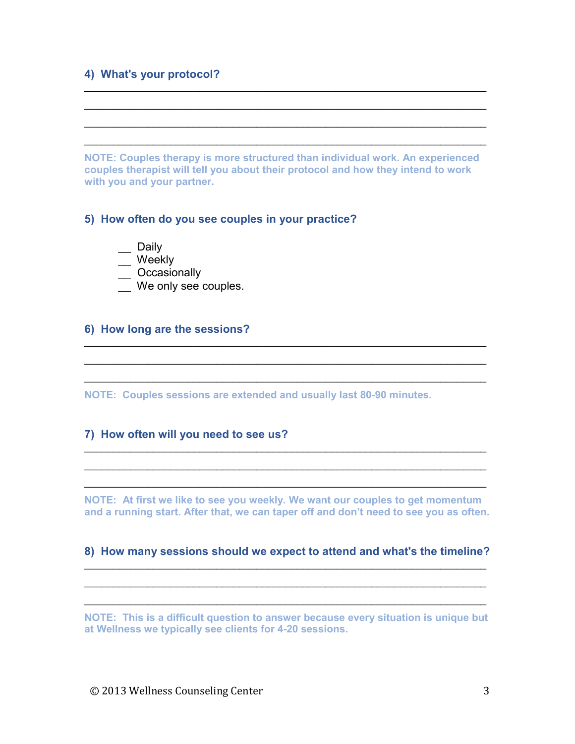#### **4) What's your protocol?**

**NOTE: Couples therapy is more structured than individual work. An experienced couples therapist will tell you about their protocol and how they intend to work with you and your partner.**

\_\_\_\_\_\_\_\_\_\_\_\_\_\_\_\_\_\_\_\_\_\_\_\_\_\_\_\_\_\_\_\_\_\_\_\_\_\_\_\_\_\_\_\_\_\_\_\_\_\_\_\_\_\_\_\_\_\_\_\_\_\_\_\_\_\_\_\_\_\_ \_\_\_\_\_\_\_\_\_\_\_\_\_\_\_\_\_\_\_\_\_\_\_\_\_\_\_\_\_\_\_\_\_\_\_\_\_\_\_\_\_\_\_\_\_\_\_\_\_\_\_\_\_\_\_\_\_\_\_\_\_\_\_\_\_\_\_\_\_\_ \_\_\_\_\_\_\_\_\_\_\_\_\_\_\_\_\_\_\_\_\_\_\_\_\_\_\_\_\_\_\_\_\_\_\_\_\_\_\_\_\_\_\_\_\_\_\_\_\_\_\_\_\_\_\_\_\_\_\_\_\_\_\_\_\_\_\_\_\_\_ \_\_\_\_\_\_\_\_\_\_\_\_\_\_\_\_\_\_\_\_\_\_\_\_\_\_\_\_\_\_\_\_\_\_\_\_\_\_\_\_\_\_\_\_\_\_\_\_\_\_\_\_\_\_\_\_\_\_\_\_\_\_\_\_\_\_\_\_\_\_

#### **5) How often do you see couples in your practice?**

- \_\_ Daily
- \_\_ Weekly
- \_\_ Occasionally
- We only see couples.

#### **6) How long are the sessions?**

**NOTE: Couples sessions are extended and usually last 80-90 minutes.**

#### **7) How often will you need to see us?**

**NOTE: At first we like to see you weekly. We want our couples to get momentum and a running start. After that, we can taper off and don't need to see you as often.**

\_\_\_\_\_\_\_\_\_\_\_\_\_\_\_\_\_\_\_\_\_\_\_\_\_\_\_\_\_\_\_\_\_\_\_\_\_\_\_\_\_\_\_\_\_\_\_\_\_\_\_\_\_\_\_\_\_\_\_\_\_\_\_\_\_\_\_\_\_\_ \_\_\_\_\_\_\_\_\_\_\_\_\_\_\_\_\_\_\_\_\_\_\_\_\_\_\_\_\_\_\_\_\_\_\_\_\_\_\_\_\_\_\_\_\_\_\_\_\_\_\_\_\_\_\_\_\_\_\_\_\_\_\_\_\_\_\_\_\_\_ \_\_\_\_\_\_\_\_\_\_\_\_\_\_\_\_\_\_\_\_\_\_\_\_\_\_\_\_\_\_\_\_\_\_\_\_\_\_\_\_\_\_\_\_\_\_\_\_\_\_\_\_\_\_\_\_\_\_\_\_\_\_\_\_\_\_\_\_\_\_

\_\_\_\_\_\_\_\_\_\_\_\_\_\_\_\_\_\_\_\_\_\_\_\_\_\_\_\_\_\_\_\_\_\_\_\_\_\_\_\_\_\_\_\_\_\_\_\_\_\_\_\_\_\_\_\_\_\_\_\_\_\_\_\_\_\_\_\_\_\_ \_\_\_\_\_\_\_\_\_\_\_\_\_\_\_\_\_\_\_\_\_\_\_\_\_\_\_\_\_\_\_\_\_\_\_\_\_\_\_\_\_\_\_\_\_\_\_\_\_\_\_\_\_\_\_\_\_\_\_\_\_\_\_\_\_\_\_\_\_\_ \_\_\_\_\_\_\_\_\_\_\_\_\_\_\_\_\_\_\_\_\_\_\_\_\_\_\_\_\_\_\_\_\_\_\_\_\_\_\_\_\_\_\_\_\_\_\_\_\_\_\_\_\_\_\_\_\_\_\_\_\_\_\_\_\_\_\_\_\_\_

#### **8) How many sessions should we expect to attend and what's the timeline?** \_\_\_\_\_\_\_\_\_\_\_\_\_\_\_\_\_\_\_\_\_\_\_\_\_\_\_\_\_\_\_\_\_\_\_\_\_\_\_\_\_\_\_\_\_\_\_\_\_\_\_\_\_\_\_\_\_\_\_\_\_\_\_\_\_\_\_\_\_\_

\_\_\_\_\_\_\_\_\_\_\_\_\_\_\_\_\_\_\_\_\_\_\_\_\_\_\_\_\_\_\_\_\_\_\_\_\_\_\_\_\_\_\_\_\_\_\_\_\_\_\_\_\_\_\_\_\_\_\_\_\_\_\_\_\_\_\_\_\_\_ \_\_\_\_\_\_\_\_\_\_\_\_\_\_\_\_\_\_\_\_\_\_\_\_\_\_\_\_\_\_\_\_\_\_\_\_\_\_\_\_\_\_\_\_\_\_\_\_\_\_\_\_\_\_\_\_\_\_\_\_\_\_\_\_\_\_\_\_\_\_

**NOTE: This is a difficult question to answer because every situation is unique but at Wellness we typically see clients for 4-20 sessions.**